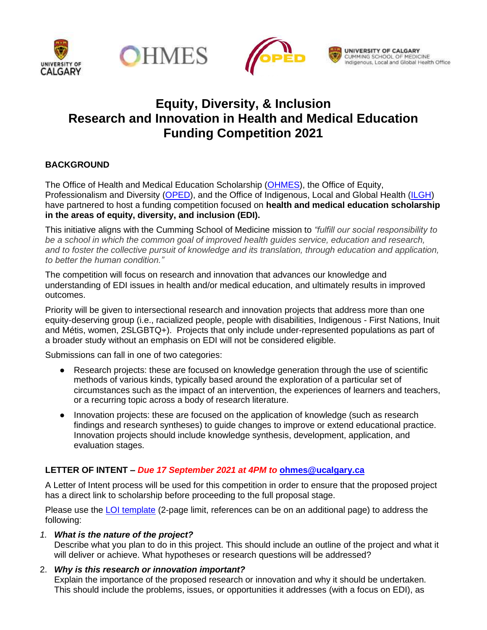





# **Equity, Diversity, & Inclusion Research and Innovation in Health and Medical Education Funding Competition 2021**

## **BACKGROUND**

The Office of Health and Medical Education Scholarship [\(OHMES\)](https://cumming.ucalgary.ca/office/ohmes), the Office of Equity, Professionalism and Diversity [\(OPED\)](https://cumming.ucalgary.ca/office/professionalism-equity-diversity), and the Office of Indigenous, Local and Global Health [\(ILGH\)](https://cumming.ucalgary.ca/community) have partnered to host a funding competition focused on **health and medical education scholarship in the areas of equity, diversity, and inclusion (EDI).**

This initiative aligns with the Cumming School of Medicine mission to *"fulfill our social responsibility to be a school in which the common goal of improved health guides service, education and research, and to foster the collective pursuit of knowledge and its translation, through education and application, to better the human condition."*

The competition will focus on research and innovation that advances our knowledge and understanding of EDI issues in health and/or medical education, and ultimately results in improved outcomes.

Priority will be given to intersectional research and innovation projects that address more than one equity-deserving group (i.e., racialized people, people with disabilities, Indigenous - First Nations, Inuit and Métis, women, 2SLGBTQ+). Projects that only include under-represented populations as part of a broader study without an emphasis on EDI will not be considered eligible.

Submissions can fall in one of two categories:

- Research projects: these are focused on knowledge generation through the use of scientific methods of various kinds, typically based around the exploration of a particular set of circumstances such as the impact of an intervention, the experiences of learners and teachers, or a recurring topic across a body of research literature.
- Innovation projects: these are focused on the application of knowledge (such as research findings and research syntheses) to guide changes to improve or extend educational practice. Innovation projects should include knowledge synthesis, development, application, and evaluation stages.

## **LETTER OF INTENT –** *Due 17 September 2021 at 4PM to* **[ohmes@ucalgary.ca](mailto:ohmes@ucalgary.ca)**

A Letter of Intent process will be used for this competition in order to ensure that the proposed project has a direct link to scholarship before proceeding to the full proposal stage.

Please use the [LOI template](https://cumming.ucalgary.ca/sites/default/files/teams/15/LOI%20Template%20-%20EDI%202021.docx) (2-page limit, references can be on an additional page) to address the following:

#### *1. What is the nature of the project?*

Describe what you plan to do in this project. This should include an outline of the project and what it will deliver or achieve. What hypotheses or research questions will be addressed?

2. *Why is this research or innovation important?*

Explain the importance of the proposed research or innovation and why it should be undertaken. This should include the problems, issues, or opportunities it addresses (with a focus on EDI), as